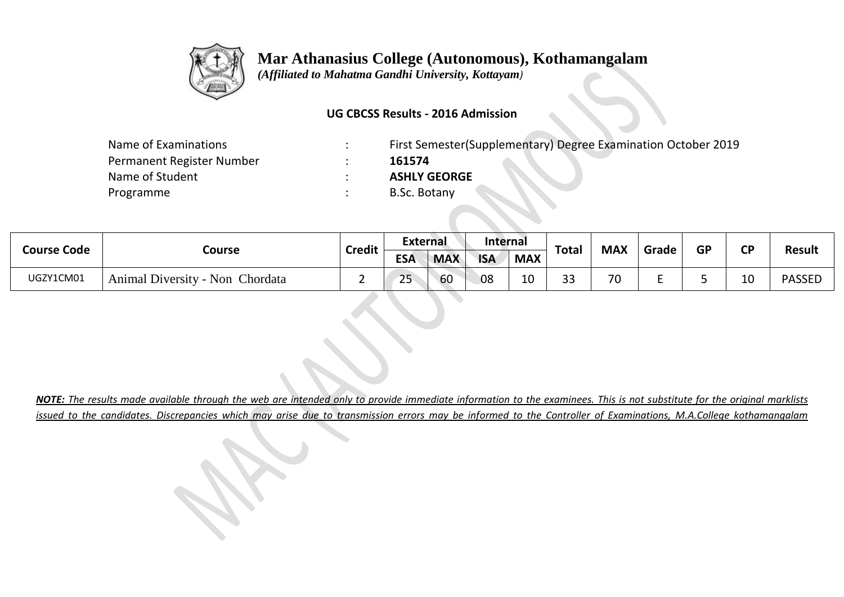

## **Mar Athanasius College (Autonomous), Kothamangalam**

 *(Affiliated to Mahatma Gandhi University, Kottayam)*

## **UG CBCSS Results - 2016 Admission**

| Name of Examinations      | First Semester (Supplementary) Degree Examination October 2019 |
|---------------------------|----------------------------------------------------------------|
| Permanent Register Number | 161574                                                         |
| Name of Student           | <b>ASHLY GEORGE</b>                                            |
| Programme                 | B.Sc. Botany                                                   |
|                           |                                                                |

| Course Code | Course                          | <b>Credit</b> | <b>External</b> |            | <b>Internal</b> |            | <b>Total</b>            | <b>MAX</b> | Grade | <b>GP</b> | $\mathbf{C}$ | <b>Result</b> |
|-------------|---------------------------------|---------------|-----------------|------------|-----------------|------------|-------------------------|------------|-------|-----------|--------------|---------------|
|             |                                 |               | <b>ESA</b>      | <b>MAX</b> | <b>ISA</b>      | <b>MAX</b> |                         |            |       |           |              |               |
| UGZY1CM01   | Animal Diversity - Non Chordata |               | 25              | 60         | 08              | 10         | $\mathbf{\Omega}$<br>-- | 70<br>v    |       |           | 10           | <b>PASSED</b> |

*NOTE: The results made available through the web are intended only to provide immediate information to the examinees. This is not substitute for the original marklists issued to the candidates. Discrepancies which may arise due to transmission errors may be informed to the Controller of Examinations, M.A.College kothamangalam*